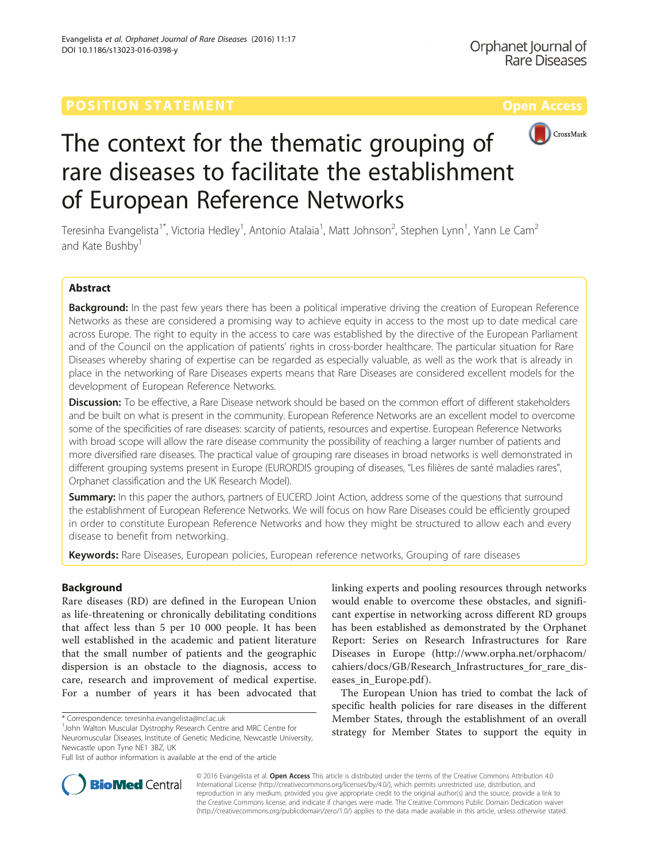

# The context for the thematic grouping of rare diseases to facilitate the establishment of European Reference Networks

Teresinha Evangelista $^1^\ast$ , Victoria Hedley $^1$ , Antonio Atalaia $^1$ , Matt Johnson $^2$ , Stephen Lynn $^1$ , Yann Le Cam $^2$ and Kate Bushby<sup>1</sup>

#### Abstract

Background: In the past few years there has been a political imperative driving the creation of European Reference Networks as these are considered a promising way to achieve equity in access to the most up to date medical care across Europe. The right to equity in the access to care was established by the directive of the European Parliament and of the Council on the application of patients' rights in cross-border healthcare. The particular situation for Rare Diseases whereby sharing of expertise can be regarded as especially valuable, as well as the work that is already in place in the networking of Rare Diseases experts means that Rare Diseases are considered excellent models for the development of European Reference Networks.

Discussion: To be effective, a Rare Disease network should be based on the common effort of different stakeholders and be built on what is present in the community. European Reference Networks are an excellent model to overcome some of the specificities of rare diseases: scarcity of patients, resources and expertise. European Reference Networks with broad scope will allow the rare disease community the possibility of reaching a larger number of patients and more diversified rare diseases. The practical value of grouping rare diseases in broad networks is well demonstrated in different grouping systems present in Europe (EURORDIS grouping of diseases, "Les filières de santé maladies rares", Orphanet classification and the UK Research Model).

Summary: In this paper the authors, partners of EUCERD Joint Action, address some of the questions that surround the establishment of European Reference Networks. We will focus on how Rare Diseases could be efficiently grouped in order to constitute European Reference Networks and how they might be structured to allow each and every disease to benefit from networking.

Keywords: Rare Diseases, European policies, European reference networks, Grouping of rare diseases

#### Background

Rare diseases (RD) are defined in the European Union as life-threatening or chronically debilitating conditions that affect less than 5 per 10 000 people. It has been well established in the academic and patient literature that the small number of patients and the geographic dispersion is an obstacle to the diagnosis, access to care, research and improvement of medical expertise. For a number of years it has been advocated that linking experts and pooling resources through networks would enable to overcome these obstacles, and significant expertise in networking across different RD groups has been established as demonstrated by the Orphanet Report: Series on Research Infrastructures for Rare Diseases in Europe ([http://www.orpha.net/orphacom/](http://www.orpha.net/orphacom/cahiers/docs/GB/Research_Infrastructures_for_rare_diseases_in_Europe.pdf) [cahiers/docs/GB/Research\\_Infrastructures\\_for\\_rare\\_dis](http://www.orpha.net/orphacom/cahiers/docs/GB/Research_Infrastructures_for_rare_diseases_in_Europe.pdf)eases in Europe.pdf).

The European Union has tried to combat the lack of specific health policies for rare diseases in the different Member States, through the establishment of an overall strategy for Member States to support the equity in



© 2016 Evangelista et al. Open Access This article is distributed under the terms of the Creative Commons Attribution 4.0 International License [\(http://creativecommons.org/licenses/by/4.0/](http://creativecommons.org/licenses/by/4.0/)), which permits unrestricted use, distribution, and reproduction in any medium, provided you give appropriate credit to the original author(s) and the source, provide a link to the Creative Commons license, and indicate if changes were made. The Creative Commons Public Domain Dedication waiver [\(http://creativecommons.org/publicdomain/zero/1.0/](http://creativecommons.org/publicdomain/zero/1.0/)) applies to the data made available in this article, unless otherwise stated.

<sup>\*</sup> Correspondence: [teresinha.evangelista@ncl.ac.uk](mailto:teresinha.evangelista@ncl.ac.uk) <sup>1</sup>

<sup>&</sup>lt;sup>1</sup> John Walton Muscular Dystrophy Research Centre and MRC Centre for Neuromuscular Diseases, Institute of Genetic Medicine, Newcastle University, Newcastle upon Tyne NE1 3BZ, UK

Full list of author information is available at the end of the article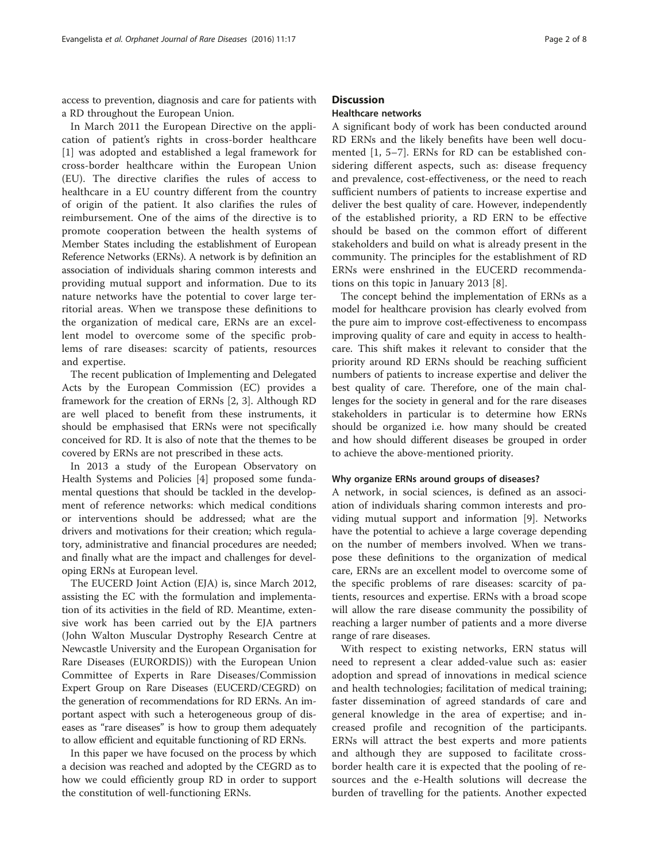access to prevention, diagnosis and care for patients with a RD throughout the European Union.

In March 2011 the European Directive on the application of patient's rights in cross-border healthcare [[1\]](#page-6-0) was adopted and established a legal framework for cross-border healthcare within the European Union (EU). The directive clarifies the rules of access to healthcare in a EU country different from the country of origin of the patient. It also clarifies the rules of reimbursement. One of the aims of the directive is to promote cooperation between the health systems of Member States including the establishment of European Reference Networks (ERNs). A network is by definition an association of individuals sharing common interests and providing mutual support and information. Due to its nature networks have the potential to cover large territorial areas. When we transpose these definitions to the organization of medical care, ERNs are an excellent model to overcome some of the specific problems of rare diseases: scarcity of patients, resources and expertise.

The recent publication of Implementing and Delegated Acts by the European Commission (EC) provides a framework for the creation of ERNs [[2, 3](#page-6-0)]. Although RD are well placed to benefit from these instruments, it should be emphasised that ERNs were not specifically conceived for RD. It is also of note that the themes to be covered by ERNs are not prescribed in these acts.

In 2013 a study of the European Observatory on Health Systems and Policies [\[4](#page-6-0)] proposed some fundamental questions that should be tackled in the development of reference networks: which medical conditions or interventions should be addressed; what are the drivers and motivations for their creation; which regulatory, administrative and financial procedures are needed; and finally what are the impact and challenges for developing ERNs at European level.

The EUCERD Joint Action (EJA) is, since March 2012, assisting the EC with the formulation and implementation of its activities in the field of RD. Meantime, extensive work has been carried out by the EJA partners (John Walton Muscular Dystrophy Research Centre at Newcastle University and the European Organisation for Rare Diseases (EURORDIS)) with the European Union Committee of Experts in Rare Diseases/Commission Expert Group on Rare Diseases (EUCERD/CEGRD) on the generation of recommendations for RD ERNs. An important aspect with such a heterogeneous group of diseases as "rare diseases" is how to group them adequately to allow efficient and equitable functioning of RD ERNs.

In this paper we have focused on the process by which a decision was reached and adopted by the CEGRD as to how we could efficiently group RD in order to support the constitution of well-functioning ERNs.

#### **Discussion**

#### Healthcare networks

A significant body of work has been conducted around RD ERNs and the likely benefits have been well documented [[1](#page-6-0), [5](#page-6-0)–[7\]](#page-6-0). ERNs for RD can be established considering different aspects, such as: disease frequency and prevalence, cost-effectiveness, or the need to reach sufficient numbers of patients to increase expertise and deliver the best quality of care. However, independently of the established priority, a RD ERN to be effective should be based on the common effort of different stakeholders and build on what is already present in the community. The principles for the establishment of RD ERNs were enshrined in the EUCERD recommendations on this topic in January 2013 [\[8](#page-6-0)].

The concept behind the implementation of ERNs as a model for healthcare provision has clearly evolved from the pure aim to improve cost-effectiveness to encompass improving quality of care and equity in access to healthcare. This shift makes it relevant to consider that the priority around RD ERNs should be reaching sufficient numbers of patients to increase expertise and deliver the best quality of care. Therefore, one of the main challenges for the society in general and for the rare diseases stakeholders in particular is to determine how ERNs should be organized i.e. how many should be created and how should different diseases be grouped in order to achieve the above-mentioned priority.

#### Why organize ERNs around groups of diseases?

A network, in social sciences, is defined as an association of individuals sharing common interests and providing mutual support and information [[9](#page-6-0)]. Networks have the potential to achieve a large coverage depending on the number of members involved. When we transpose these definitions to the organization of medical care, ERNs are an excellent model to overcome some of the specific problems of rare diseases: scarcity of patients, resources and expertise. ERNs with a broad scope will allow the rare disease community the possibility of reaching a larger number of patients and a more diverse range of rare diseases.

With respect to existing networks, ERN status will need to represent a clear added-value such as: easier adoption and spread of innovations in medical science and health technologies; facilitation of medical training; faster dissemination of agreed standards of care and general knowledge in the area of expertise; and increased profile and recognition of the participants. ERNs will attract the best experts and more patients and although they are supposed to facilitate crossborder health care it is expected that the pooling of resources and the e-Health solutions will decrease the burden of travelling for the patients. Another expected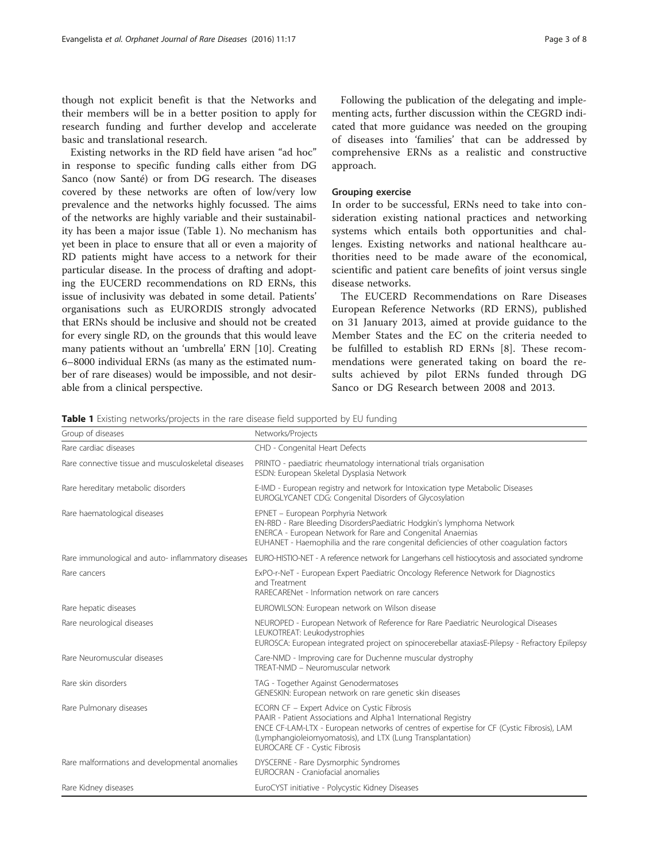though not explicit benefit is that the Networks and their members will be in a better position to apply for research funding and further develop and accelerate basic and translational research.

Existing networks in the RD field have arisen "ad hoc" in response to specific funding calls either from DG Sanco (now Santé) or from DG research. The diseases covered by these networks are often of low/very low prevalence and the networks highly focussed. The aims of the networks are highly variable and their sustainability has been a major issue (Table 1). No mechanism has yet been in place to ensure that all or even a majority of RD patients might have access to a network for their particular disease. In the process of drafting and adopting the EUCERD recommendations on RD ERNs, this issue of inclusivity was debated in some detail. Patients' organisations such as EURORDIS strongly advocated that ERNs should be inclusive and should not be created for every single RD, on the grounds that this would leave many patients without an 'umbrella' ERN [[10\]](#page-6-0). Creating 6–8000 individual ERNs (as many as the estimated number of rare diseases) would be impossible, and not desirable from a clinical perspective.

Following the publication of the delegating and implementing acts, further discussion within the CEGRD indicated that more guidance was needed on the grouping of diseases into 'families' that can be addressed by comprehensive ERNs as a realistic and constructive approach.

#### Grouping exercise

In order to be successful, ERNs need to take into consideration existing national practices and networking systems which entails both opportunities and challenges. Existing networks and national healthcare authorities need to be made aware of the economical, scientific and patient care benefits of joint versus single disease networks.

The EUCERD Recommendations on Rare Diseases European Reference Networks (RD ERNS), published on 31 January 2013, aimed at provide guidance to the Member States and the EC on the criteria needed to be fulfilled to establish RD ERNs [[8\]](#page-6-0). These recommendations were generated taking on board the results achieved by pilot ERNs funded through DG Sanco or DG Research between 2008 and 2013.

**Table 1** Existing networks/projects in the rare disease field supported by EU funding

| Group of diseases                                   | Networks/Projects                                                                                                                                                                                                                                                                                         |  |  |  |
|-----------------------------------------------------|-----------------------------------------------------------------------------------------------------------------------------------------------------------------------------------------------------------------------------------------------------------------------------------------------------------|--|--|--|
| Rare cardiac diseases                               | CHD - Congenital Heart Defects                                                                                                                                                                                                                                                                            |  |  |  |
| Rare connective tissue and musculoskeletal diseases | PRINTO - paediatric rheumatology international trials organisation<br>ESDN: European Skeletal Dysplasia Network                                                                                                                                                                                           |  |  |  |
| Rare hereditary metabolic disorders                 | E-IMD - European registry and network for Intoxication type Metabolic Diseases<br>EUROGLYCANET CDG: Congenital Disorders of Glycosylation                                                                                                                                                                 |  |  |  |
| Rare haematological diseases                        | EPNET - European Porphyria Network<br>EN-RBD - Rare Bleeding DisordersPaediatric Hodgkin's lymphoma Network<br>ENERCA - European Network for Rare and Congenital Anaemias<br>EUHANET - Haemophilia and the rare congenital deficiencies of other coagulation factors                                      |  |  |  |
| Rare immunological and auto- inflammatory diseases  | EURO-HISTIO-NET - A reference network for Langerhans cell histiocytosis and associated syndrome                                                                                                                                                                                                           |  |  |  |
| Rare cancers                                        | ExPO-r-NeT - European Expert Paediatric Oncology Reference Network for Diagnostics<br>and Treatment<br>RARECARENet - Information network on rare cancers                                                                                                                                                  |  |  |  |
| Rare hepatic diseases                               | EUROWILSON: European network on Wilson disease                                                                                                                                                                                                                                                            |  |  |  |
| Rare neurological diseases                          | NEUROPED - European Network of Reference for Rare Paediatric Neurological Diseases<br>LEUKOTREAT: Leukodystrophies<br>EUROSCA: European integrated project on spinocerebellar ataxiasE-Pilepsy - Refractory Epilepsy                                                                                      |  |  |  |
| Rare Neuromuscular diseases                         | Care-NMD - Improving care for Duchenne muscular dystrophy<br>TREAT-NMD - Neuromuscular network                                                                                                                                                                                                            |  |  |  |
| Rare skin disorders                                 | TAG - Together Against Genodermatoses<br>GENESKIN: European network on rare genetic skin diseases                                                                                                                                                                                                         |  |  |  |
| Rare Pulmonary diseases                             | ECORN CF - Expert Advice on Cystic Fibrosis<br>PAAIR - Patient Associations and Alpha1 International Registry<br>ENCE CF-LAM-LTX - European networks of centres of expertise for CF (Cystic Fibrosis), LAM<br>(Lymphangioleiomyomatosis), and LTX (Lung Transplantation)<br>EUROCARE CF - Cystic Fibrosis |  |  |  |
| Rare malformations and developmental anomalies      | DYSCERNE - Rare Dysmorphic Syndromes<br>EUROCRAN - Craniofacial anomalies                                                                                                                                                                                                                                 |  |  |  |
| Rare Kidney diseases                                | EuroCYST initiative - Polycystic Kidney Diseases                                                                                                                                                                                                                                                          |  |  |  |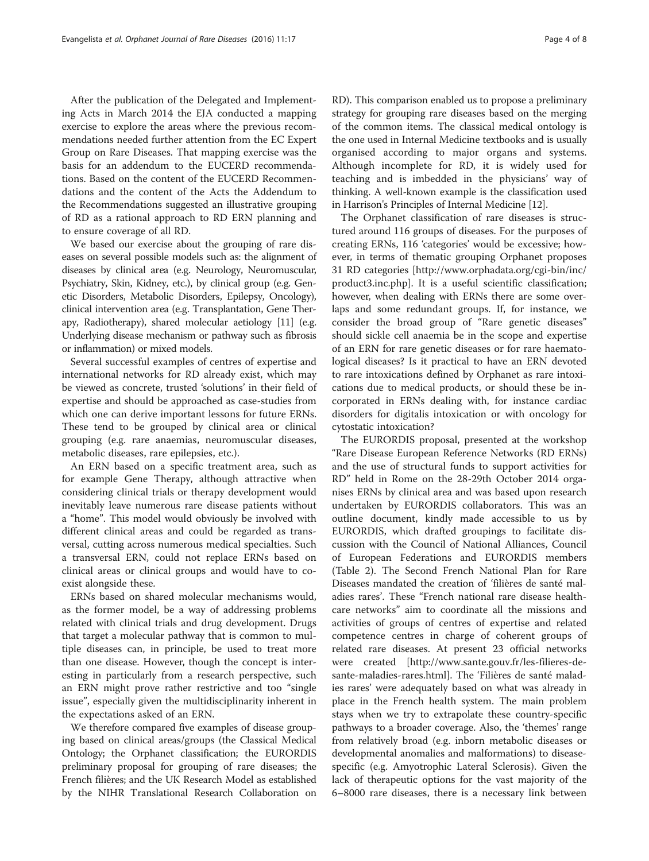After the publication of the Delegated and Implementing Acts in March 2014 the EJA conducted a mapping exercise to explore the areas where the previous recommendations needed further attention from the EC Expert Group on Rare Diseases. That mapping exercise was the basis for an addendum to the EUCERD recommendations. Based on the content of the EUCERD Recommendations and the content of the Acts the Addendum to the Recommendations suggested an illustrative grouping of RD as a rational approach to RD ERN planning and to ensure coverage of all RD.

We based our exercise about the grouping of rare diseases on several possible models such as: the alignment of diseases by clinical area (e.g. Neurology, Neuromuscular, Psychiatry, Skin, Kidney, etc.), by clinical group (e.g. Genetic Disorders, Metabolic Disorders, Epilepsy, Oncology), clinical intervention area (e.g. Transplantation, Gene Therapy, Radiotherapy), shared molecular aetiology [\[11\]](#page-7-0) (e.g. Underlying disease mechanism or pathway such as fibrosis or inflammation) or mixed models.

Several successful examples of centres of expertise and international networks for RD already exist, which may be viewed as concrete, trusted 'solutions' in their field of expertise and should be approached as case-studies from which one can derive important lessons for future ERNs. These tend to be grouped by clinical area or clinical grouping (e.g. rare anaemias, neuromuscular diseases, metabolic diseases, rare epilepsies, etc.).

An ERN based on a specific treatment area, such as for example Gene Therapy, although attractive when considering clinical trials or therapy development would inevitably leave numerous rare disease patients without a "home". This model would obviously be involved with different clinical areas and could be regarded as transversal, cutting across numerous medical specialties. Such a transversal ERN, could not replace ERNs based on clinical areas or clinical groups and would have to coexist alongside these.

ERNs based on shared molecular mechanisms would, as the former model, be a way of addressing problems related with clinical trials and drug development. Drugs that target a molecular pathway that is common to multiple diseases can, in principle, be used to treat more than one disease. However, though the concept is interesting in particularly from a research perspective, such an ERN might prove rather restrictive and too "single issue", especially given the multidisciplinarity inherent in the expectations asked of an ERN.

We therefore compared five examples of disease grouping based on clinical areas/groups (the Classical Medical Ontology; the Orphanet classification; the EURORDIS preliminary proposal for grouping of rare diseases; the French filières; and the UK Research Model as established by the NIHR Translational Research Collaboration on

RD). This comparison enabled us to propose a preliminary strategy for grouping rare diseases based on the merging of the common items. The classical medical ontology is the one used in Internal Medicine textbooks and is usually organised according to major organs and systems. Although incomplete for RD, it is widely used for teaching and is imbedded in the physicians' way of thinking. A well-known example is the classification used in Harrison's Principles of Internal Medicine [\[12\]](#page-7-0).

The Orphanet classification of rare diseases is structured around 116 groups of diseases. For the purposes of creating ERNs, 116 'categories' would be excessive; however, in terms of thematic grouping Orphanet proposes 31 RD categories [[http://www.orphadata.org/cgi-bin/inc/](http://www.orphadata.org/cgi-bin/inc/product3.inc.php) [product3.inc.php](http://www.orphadata.org/cgi-bin/inc/product3.inc.php)]. It is a useful scientific classification; however, when dealing with ERNs there are some overlaps and some redundant groups. If, for instance, we consider the broad group of "Rare genetic diseases" should sickle cell anaemia be in the scope and expertise of an ERN for rare genetic diseases or for rare haematological diseases? Is it practical to have an ERN devoted to rare intoxications defined by Orphanet as rare intoxications due to medical products, or should these be incorporated in ERNs dealing with, for instance cardiac disorders for digitalis intoxication or with oncology for cytostatic intoxication?

The EURORDIS proposal, presented at the workshop "Rare Disease European Reference Networks (RD ERNs) and the use of structural funds to support activities for RD" held in Rome on the 28-29th October 2014 organises ERNs by clinical area and was based upon research undertaken by EURORDIS collaborators. This was an outline document, kindly made accessible to us by EURORDIS, which drafted groupings to facilitate discussion with the Council of National Alliances, Council of European Federations and EURORDIS members (Table [2](#page-4-0)). The Second French National Plan for Rare Diseases mandated the creation of 'filières de santé maladies rares'. These "French national rare disease healthcare networks" aim to coordinate all the missions and activities of groups of centres of expertise and related competence centres in charge of coherent groups of related rare diseases. At present 23 official networks were created [\[http://www.sante.gouv.fr/les-filieres-de](http://www.sante.gouv.fr/les-filieres-de-sante-maladies-rares.html)[sante-maladies-rares.html\]](http://www.sante.gouv.fr/les-filieres-de-sante-maladies-rares.html). The 'Filières de santé maladies rares' were adequately based on what was already in place in the French health system. The main problem stays when we try to extrapolate these country-specific pathways to a broader coverage. Also, the 'themes' range from relatively broad (e.g. inborn metabolic diseases or developmental anomalies and malformations) to diseasespecific (e.g. Amyotrophic Lateral Sclerosis). Given the lack of therapeutic options for the vast majority of the 6–8000 rare diseases, there is a necessary link between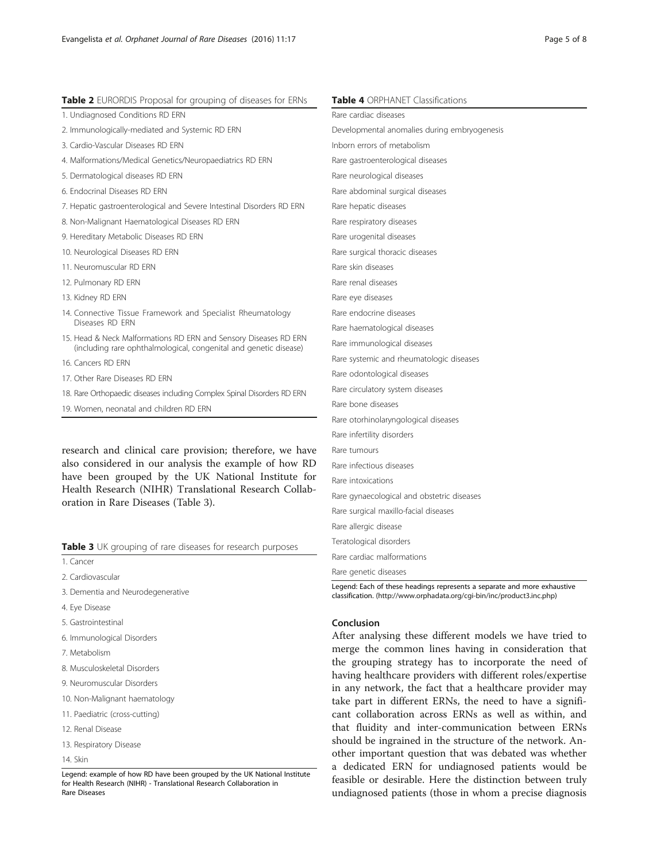#### <span id="page-4-0"></span>Table 2 EURORDIS Proposal for grouping of diseases for ERNs

| 1. Undiagnosed Conditions RD ERN |  |  |  |
|----------------------------------|--|--|--|
|----------------------------------|--|--|--|

- 2. Immunologically-mediated and Systemic RD ERN
- 3. Cardio-Vascular Diseases RD ERN
- 4. Malformations/Medical Genetics/Neuropaediatrics RD ERN
- 5. Dermatological diseases RD ERN
- 6. Endocrinal Diseases RD ERN
- 7. Hepatic gastroenterological and Severe Intestinal Disorders RD ERN
- 8. Non-Malignant Haematological Diseases RD ERN
- 9. Hereditary Metabolic Diseases RD ERN
- 10. Neurological Diseases RD ERN
- 11. Neuromuscular RD ERN
- 12. Pulmonary RD ERN
- 13. Kidney RD ERN
- 14. Connective Tissue Framework and Specialist Rheumatology Diseases RD ERN
- 15. Head & Neck Malformations RD ERN and Sensory Diseases RD ERN (including rare ophthalmological, congenital and genetic disease)
- 16. Cancers RD ERN
- 17. Other Rare Diseases RD ERN
- 18. Rare Orthopaedic diseases including Complex Spinal Disorders RD ERN
- 19. Women, neonatal and children RD ERN

research and clinical care provision; therefore, we have also considered in our analysis the example of how RD have been grouped by the UK National Institute for Health Research (NIHR) Translational Research Collaboration in Rare Diseases (Table 3).

Table 3 UK grouping of rare diseases for research purposes

- 1. Cancer
- 2. Cardiovascular
- 3. Dementia and Neurodegenerative
- 4. Eye Disease
- 5. Gastrointestinal
- 6. Immunological Disorders
- 7. Metabolism
- 8. Musculoskeletal Disorders
- 9. Neuromuscular Disorders
- 10. Non-Malignant haematology
- 11. Paediatric (cross-cutting)
- 12. Renal Disease
- 13. Respiratory Disease
- 14. Skin

Legend: example of how RD have been grouped by the UK National Institute for Health Research (NIHR) - Translational Research Collaboration in Rare Diseases

#### Table 4 ORPHANET Classifications

Rare cardiac diseases Developmental anomalies during embryogenesis Inborn errors of metabolism Rare gastroenterological diseases Rare neurological diseases Rare abdominal surgical diseases Rare hepatic diseases Rare respiratory diseases Rare urogenital diseases Rare surgical thoracic diseases Rare skin diseases Rare renal diseases Rare eye diseases Rare endocrine diseases Rare haematological diseases Rare immunological diseases Rare systemic and rheumatologic diseases Rare odontological diseases Rare circulatory system diseases Rare bone diseases Rare otorhinolaryngological diseases Rare infertility disorders Rare tumours Rare infectious diseases Rare intoxications Rare gynaecological and obstetric diseases Rare surgical maxillo-facial diseases Rare allergic disease Teratological disorders Rare cardiac malformations Rare genetic diseases

Legend: Each of these headings represents a separate and more exhaustive classification. [\(http://www.orphadata.org/cgi-bin/inc/product3.inc.php](http://www.orphadata.org/cgi-bin/inc/product3.inc.php))

#### Conclusion

After analysing these different models we have tried to merge the common lines having in consideration that the grouping strategy has to incorporate the need of having healthcare providers with different roles/expertise in any network, the fact that a healthcare provider may take part in different ERNs, the need to have a significant collaboration across ERNs as well as within, and that fluidity and inter-communication between ERNs should be ingrained in the structure of the network. Another important question that was debated was whether a dedicated ERN for undiagnosed patients would be feasible or desirable. Here the distinction between truly undiagnosed patients (those in whom a precise diagnosis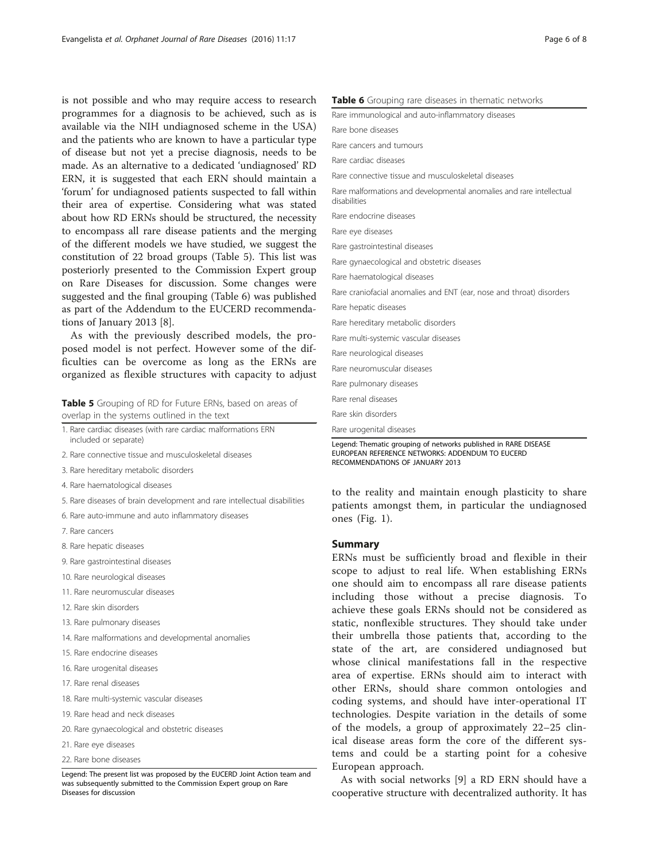is not possible and who may require access to research programmes for a diagnosis to be achieved, such as is available via the NIH undiagnosed scheme in the USA) and the patients who are known to have a particular type of disease but not yet a precise diagnosis, needs to be made. As an alternative to a dedicated 'undiagnosed' RD ERN, it is suggested that each ERN should maintain a 'forum' for undiagnosed patients suspected to fall within their area of expertise. Considering what was stated about how RD ERNs should be structured, the necessity to encompass all rare disease patients and the merging of the different models we have studied, we suggest the constitution of 22 broad groups (Table 5). This list was posteriorly presented to the Commission Expert group on Rare Diseases for discussion. Some changes were suggested and the final grouping (Table 6) was published as part of the Addendum to the EUCERD recommendations of January 2013 [[8\]](#page-6-0).

As with the previously described models, the proposed model is not perfect. However some of the difficulties can be overcome as long as the ERNs are organized as flexible structures with capacity to adjust

Table 5 Grouping of RD for Future ERNs, based on areas of overlap in the systems outlined in the text

|                       |  | 1. Rare cardiac diseases (with rare cardiac malformations ERN) |  |
|-----------------------|--|----------------------------------------------------------------|--|
| included or separate) |  |                                                                |  |

- 2. Rare connective tissue and musculoskeletal diseases
- 3. Rare hereditary metabolic disorders
- 4. Rare haematological diseases
- 5. Rare diseases of brain development and rare intellectual disabilities
- 6. Rare auto-immune and auto inflammatory diseases
- 7. Rare cancers
- 8. Rare hepatic diseases
- 9. Rare gastrointestinal diseases
- 10. Rare neurological diseases
- 11. Rare neuromuscular diseases
- 12. Rare skin disorders
- 13. Rare pulmonary diseases
- 14. Rare malformations and developmental anomalies
- 15. Rare endocrine diseases
- 16. Rare urogenital diseases
- 17. Rare renal diseases
- 18. Rare multi-systemic vascular diseases
- 19. Rare head and neck diseases
- 20. Rare gynaecological and obstetric diseases
- 21. Rare eye diseases
- 22. Rare bone diseases

Legend: The present list was proposed by the EUCERD Joint Action team and was subsequently submitted to the Commission Expert group on Rare Diseases for discussion

| Rare immunological and auto-inflammatory diseases                                    |
|--------------------------------------------------------------------------------------|
| Rare hone diseases                                                                   |
| Rare cancers and tumours                                                             |
| Rare cardiac diseases                                                                |
| Rare connective tissue and musculoskeletal diseases                                  |
| Rare malformations and developmental anomalies and rare intellectual<br>disabilities |
| Rare endocrine diseases                                                              |
| Rare eye diseases                                                                    |
| Rare gastrointestinal diseases                                                       |
| Rare gynaecological and obstetric diseases                                           |
| Rare haematological diseases                                                         |
| Rare craniofacial anomalies and ENT (ear, nose and throat) disorders                 |
| Rare hepatic diseases                                                                |
| Rare hereditary metabolic disorders                                                  |
| Rare multi-systemic vascular diseases                                                |
| Rare neurological diseases                                                           |
| Rare neuromuscular diseases                                                          |
| Rare pulmonary diseases                                                              |
| Rare renal diseases                                                                  |
| Rare skin disorders                                                                  |
| Rare urogenital diseases                                                             |
|                                                                                      |

Table 6 Grouping rare diseases in thematic networks

Legend: Thematic grouping of networks published in RARE DISEASE EUROPEAN REFERENCE NETWORKS: ADDENDUM TO EUCERD RECOMMENDATIONS OF JANUARY 2013

to the reality and maintain enough plasticity to share patients amongst them, in particular the undiagnosed ones (Fig. [1\)](#page-6-0).

#### Summary

ERNs must be sufficiently broad and flexible in their scope to adjust to real life. When establishing ERNs one should aim to encompass all rare disease patients including those without a precise diagnosis. To achieve these goals ERNs should not be considered as static, nonflexible structures. They should take under their umbrella those patients that, according to the state of the art, are considered undiagnosed but whose clinical manifestations fall in the respective area of expertise. ERNs should aim to interact with other ERNs, should share common ontologies and coding systems, and should have inter-operational IT technologies. Despite variation in the details of some of the models, a group of approximately 22–25 clinical disease areas form the core of the different systems and could be a starting point for a cohesive European approach.

As with social networks [\[9](#page-6-0)] a RD ERN should have a cooperative structure with decentralized authority. It has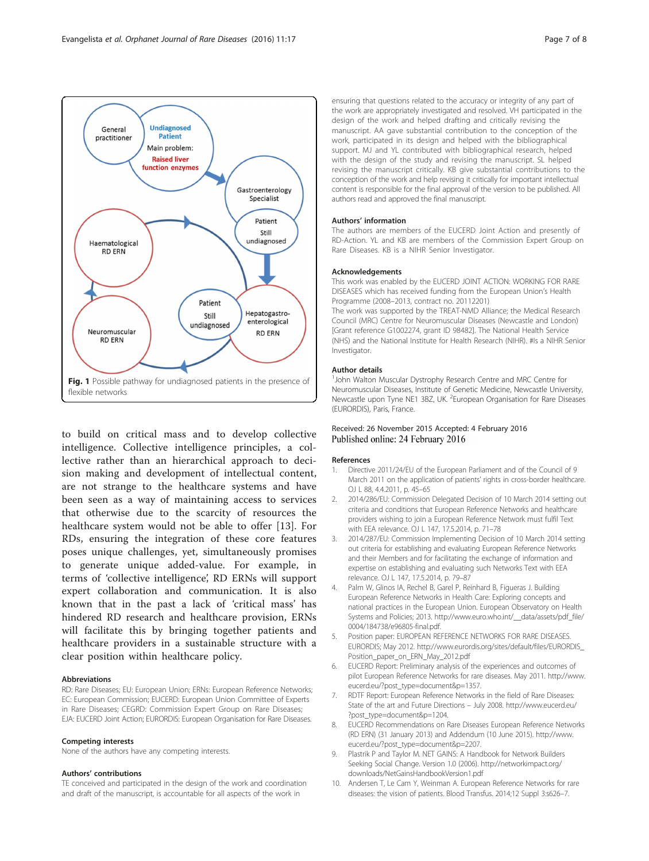<span id="page-6-0"></span>

to build on critical mass and to develop collective intelligence. Collective intelligence principles, a collective rather than an hierarchical approach to decision making and development of intellectual content, are not strange to the healthcare systems and have been seen as a way of maintaining access to services that otherwise due to the scarcity of resources the healthcare system would not be able to offer [[13\]](#page-7-0). For RDs, ensuring the integration of these core features poses unique challenges, yet, simultaneously promises to generate unique added-value. For example, in terms of 'collective intelligence', RD ERNs will support expert collaboration and communication. It is also known that in the past a lack of 'critical mass' has hindered RD research and healthcare provision, ERNs will facilitate this by bringing together patients and healthcare providers in a sustainable structure with a clear position within healthcare policy.

#### Abbreviations

RD: Rare Diseases; EU: European Union; ERNs: European Reference Networks; EC: European Commission; EUCERD: European Union Committee of Experts in Rare Diseases; CEGRD: Commission Expert Group on Rare Diseases; EJA: EUCERD Joint Action; EURORDIS: European Organisation for Rare Diseases.

#### Competing interests

None of the authors have any competing interests.

#### Authors' contributions

TE conceived and participated in the design of the work and coordination and draft of the manuscript, is accountable for all aspects of the work in

ensuring that questions related to the accuracy or integrity of any part of the work are appropriately investigated and resolved. VH participated in the design of the work and helped drafting and critically revising the manuscript. AA gave substantial contribution to the conception of the work, participated in its design and helped with the bibliographical support. MJ and YL contributed with bibliographical research, helped with the design of the study and revising the manuscript. SL helped revising the manuscript critically. KB give substantial contributions to the conception of the work and help revising it critically for important intellectual content is responsible for the final approval of the version to be published. All authors read and approved the final manuscript.

#### Authors' information

The authors are members of the EUCERD Joint Action and presently of RD-Action. YL and KB are members of the Commission Expert Group on Rare Diseases. KB is a NIHR Senior Investigator.

#### Acknowledgements

This work was enabled by the EUCERD JOINT ACTION: WORKING FOR RARE DISEASES which has received funding from the European Union's Health Programme (2008–2013, contract no. 20112201) The work was supported by the TREAT-NMD Alliance; the Medical Research

Council (MRC) Centre for Neuromuscular Diseases (Newcastle and London) [Grant reference G1002274, grant ID 98482]. The National Health Service (NHS) and the National Institute for Health Research (NIHR). #Is a NIHR Senior Investigator.

#### Author details

<sup>1</sup> John Walton Muscular Dystrophy Research Centre and MRC Centre for Neuromuscular Diseases, Institute of Genetic Medicine, Newcastle University, Newcastle upon Tyne NE1 3BZ, UK. <sup>2</sup>European Organisation for Rare Diseases (EURORDIS), Paris, France.

## Received: 26 November 2015 Accepted: 4 February 2016

#### References

- 1. Directive 2011/24/EU of the European Parliament and of the Council of 9 March 2011 on the application of patients' rights in cross-border healthcare. OJ L 88, 4.4.2011, p. 45–65
- 2. 2014/286/EU: Commission Delegated Decision of 10 March 2014 setting out criteria and conditions that European Reference Networks and healthcare providers wishing to join a European Reference Network must fulfil Text with EEA relevance. OJ L 147, 17.5.2014, p. 71–78
- 3. 2014/287/EU: Commission Implementing Decision of 10 March 2014 setting out criteria for establishing and evaluating European Reference Networks and their Members and for facilitating the exchange of information and expertise on establishing and evaluating such Networks Text with EEA relevance. OJ L 147, 17.5.2014, p. 79–87
- 4. Palm W, Glinos IA, Rechel B, Garel P, Reinhard B, Figueras J. Building European Reference Networks in Health Care: Exploring concepts and national practices in the European Union. European Observatory on Health Systems and Policies; 2013. [http://www.euro.who.int/\\_\\_data/assets/pdf\\_file/](http://www.euro.who.int/__data/assets/pdf_file/0004/184738/e96805-final.pdf) [0004/184738/e96805-final.pdf.](http://www.euro.who.int/__data/assets/pdf_file/0004/184738/e96805-final.pdf)
- 5. Position paper: EUROPEAN REFERENCE NETWORKS FOR RARE DISEASES. EURORDIS; May 2012. [http://www.eurordis.org/sites/default/files/EURORDIS\\_](http://www.eurordis.org/sites/default/files/EURORDIS_Position_paper_on_ERN_May_2012.pdf) [Position\\_paper\\_on\\_ERN\\_May\\_2012.pdf](http://www.eurordis.org/sites/default/files/EURORDIS_Position_paper_on_ERN_May_2012.pdf)
- 6. EUCERD Report: Preliminary analysis of the experiences and outcomes of pilot European Reference Networks for rare diseases. May 2011. [http://www.](http://www.eucerd.eu/?post_type=document&p=1357) [eucerd.eu/?post\\_type=document&p=1357.](http://www.eucerd.eu/?post_type=document&p=1357)
- 7. RDTF Report: European Reference Networks in the field of Rare Diseases: State of the art and Future Directions – July 2008. [http://www.eucerd.eu/](http://www.eucerd.eu/?post_type=document&p=1204) [?post\\_type=document&p=1204](http://www.eucerd.eu/?post_type=document&p=1204).
- 8. EUCERD Recommendations on Rare Diseases European Reference Networks (RD ERN) (31 January 2013) and Addendum (10 June 2015). [http://www.](http://www.eucerd.eu/?post_type=document&p=2207.) [eucerd.eu/?post\\_type=document&p=2207.](http://www.eucerd.eu/?post_type=document&p=2207.)
- 9. Plastrik P and Taylor M. NET GAINS: A Handbook for Network Builders Seeking Social Change. Version 1.0 (2006). [http://networkimpact.org/](http://networkimpact.org/downloads/NetGainsHandbookVersion1.pdf) [downloads/NetGainsHandbookVersion1.pdf](http://networkimpact.org/downloads/NetGainsHandbookVersion1.pdf)
- 10. Andersen T, Le Cam Y, Weinman A. European Reference Networks for rare diseases: the vision of patients. Blood Transfus. 2014;12 Suppl 3:s626–7.